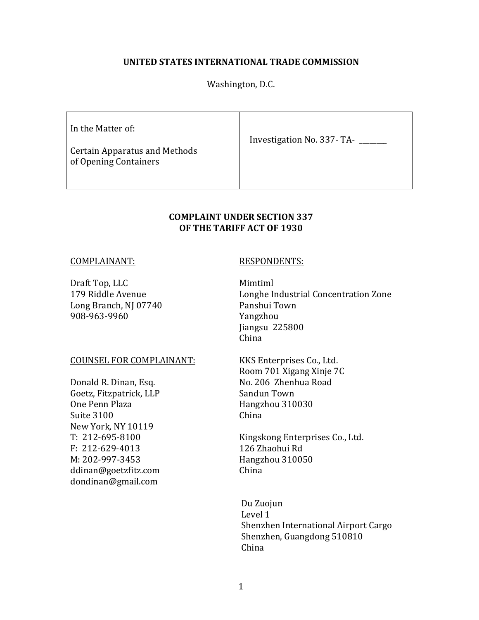# **UNITED STATES INTERNATIONAL TRADE COMMISSION**

Washington, D.C.

| In the Matter of:<br><b>Certain Apparatus and Methods</b><br>of Opening Containers | Investigation No. 337-TA- |  |
|------------------------------------------------------------------------------------|---------------------------|--|
|                                                                                    |                           |  |

# **COMPLAINT UNDER SECTION 337 OF THE TARIFF ACT OF 1930**

#### COMPLAINANT: RESPONDENTS:

Draft Top, LLC Mimtiml Long Branch, NJ 07740 Panshui Town 908-963-9960 Yangzhou

#### COUNSEL FOR COMPLAINANT: KKS Enterprises Co., Ltd.

Goetz, Fitzpatrick, LLP Sandun Town One Penn Plaza Hangzhou 310030 Suite 3100 China New York, NY 10119 F: 212-629-4013 126 Zhaohui Rd M: 202-997-3453 Hangzhou 310050 ddinan@goetzfitz.com China dondinan@gmail.com

179 Riddle Avenue Longhe Industrial Concentration Zone Jiangsu 225800 China

 Room 701 Xigang Xinje 7C Donald R. Dinan, Esq. No. 206 Zhenhua Road

T: 212-695-8100 Kingskong Enterprises Co., Ltd.

 Du Zuojun Level 1 Shenzhen International Airport Cargo Shenzhen, Guangdong 510810 China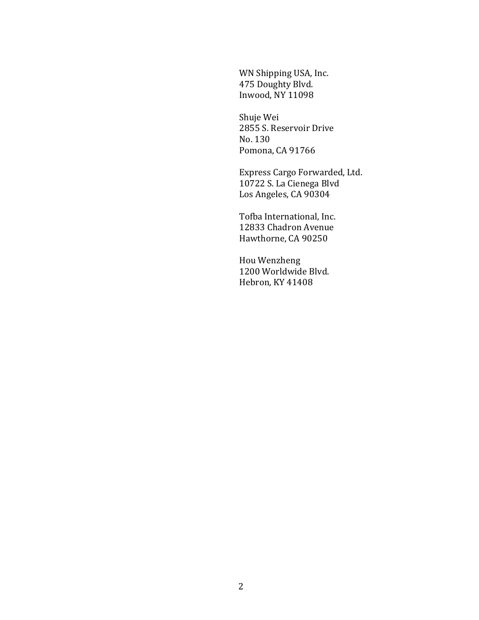WN Shipping USA, Inc. 475 Doughty Blvd. Inwood, NY 11098

 Shuje Wei 2855 S. Reservoir Drive No. 130 Pomona, CA 91766

 Express Cargo Forwarded, Ltd. 10722 S. La Cienega Blvd Los Angeles, CA 90304

 Tofba International, Inc. 12833 Chadron Avenue Hawthorne, CA 90250

 Hou Wenzheng 1200 Worldwide Blvd. Hebron, KY 41408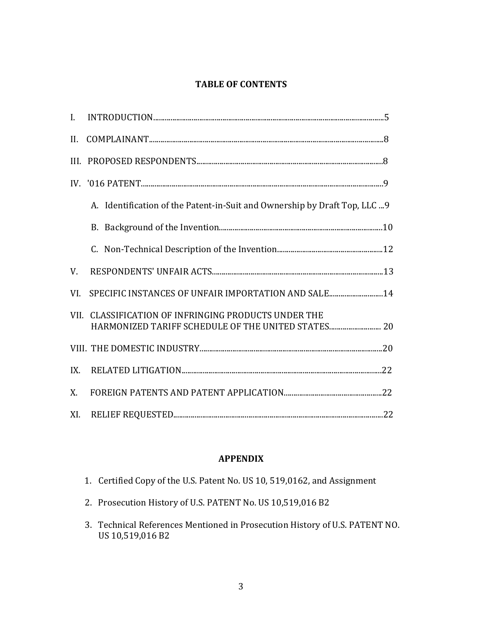# **TABLE OF CONTENTS**

| II. |                                                                            |
|-----|----------------------------------------------------------------------------|
|     |                                                                            |
|     |                                                                            |
|     | A. Identification of the Patent-in-Suit and Ownership by Draft Top, LLC  9 |
|     |                                                                            |
|     |                                                                            |
| V.  |                                                                            |
| VI. | SPECIFIC INSTANCES OF UNFAIR IMPORTATION AND SALE14                        |
|     | VII. CLASSIFICATION OF INFRINGING PRODUCTS UNDER THE                       |
|     |                                                                            |
| IX. |                                                                            |
| X.  |                                                                            |
| XI. |                                                                            |

# **APPENDIX**

|  |  | 1. Certified Copy of the U.S. Patent No. US 10, 519,0162, and Assignment |
|--|--|--------------------------------------------------------------------------|
|  |  |                                                                          |

- 2. Prosecution History of U.S. PATENT No. US 10,519,016 B2
- 3. Technical References Mentioned in Prosecution History of U.S. PATENT NO. US 10,519,016 B2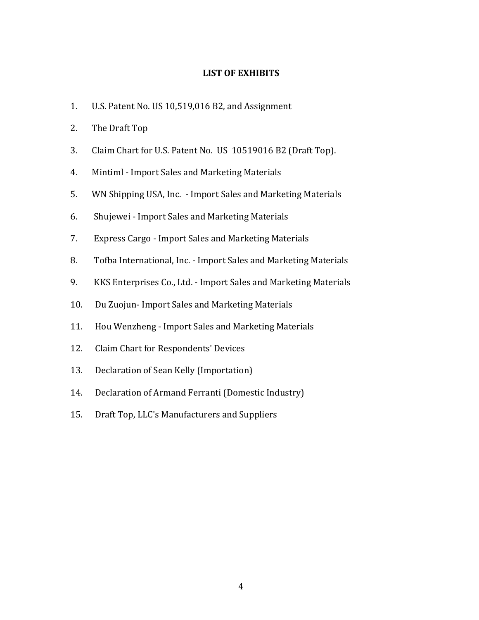# **LIST OF EXHIBITS**

- 1. U.S. Patent No. US 10,519,016 B2, and Assignment
- 2. The Draft Top
- 3. Claim Chart for U.S. Patent No. US 10519016 B2 (Draft Top).
- 4. Mintiml Import Sales and Marketing Materials
- 5. WN Shipping USA, Inc. Import Sales and Marketing Materials
- 6. Shujewei Import Sales and Marketing Materials
- 7. Express Cargo Import Sales and Marketing Materials
- 8. Tofba International, Inc. Import Sales and Marketing Materials
- 9. KKS Enterprises Co., Ltd. Import Sales and Marketing Materials
- 10. Du Zuojun- Import Sales and Marketing Materials
- 11. Hou Wenzheng Import Sales and Marketing Materials
- 12. Claim Chart for Respondents' Devices
- 13. Declaration of Sean Kelly (Importation)
- 14. Declaration of Armand Ferranti (Domestic Industry)
- 15. Draft Top, LLC's Manufacturers and Suppliers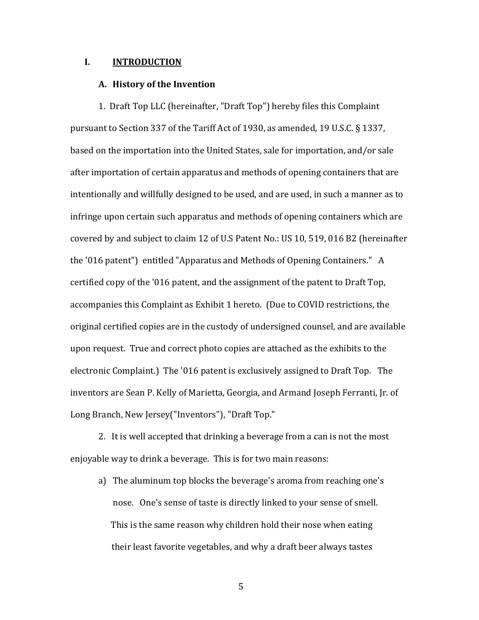## **I. INTRODUCTION**

#### **A. History of the Invention**

1. Draft Top LLC (hereinafter, "Draft Top") hereby files this Complaint pursuant to Section 337 of the Tariff Act of 1930, as amended, 19 U.S.C. § 1337, based on the importation into the United States, sale for importation, and/or sale after importation of certain apparatus and methods of opening containers that are intentionally and willfully designed to be used, and are used, in such a manner as to infringe upon certain such apparatus and methods of opening containers which are covered by and subject to claim 12 of U.S Patent No.: US 10, 519, 016 B2 (hereinafter the '016 patent") entitled "Apparatus and Methods of Opening Containers." A certified copy of the '016 patent, and the assignment of the patent to Draft Top, accompanies this Complaint as Exhibit 1 hereto. (Due to COVID restrictions, the original certified copies are in the custody of undersigned counsel, and are available upon request. True and correct photo copies are attached as the exhibits to the electronic Complaint.) The '016 patent is exclusively assigned to Draft Top. The inventors are Sean P. Kelly of Marietta, Georgia, and Armand Joseph Ferranti, Jr. of Long Branch, New Jersey("Inventors"), "Draft Top."

2.It is well accepted that drinking a beverage from a can is not the most enjoyable way to drink a beverage. This is for two main reasons:

 a) The aluminum top blocks the beverage's aroma from reaching one's nose. One's sense of taste is directly linked to your sense of smell. This is the same reason why children hold their nose when eating their least favorite vegetables, and why a draft beer always tastes

 $\sim$  5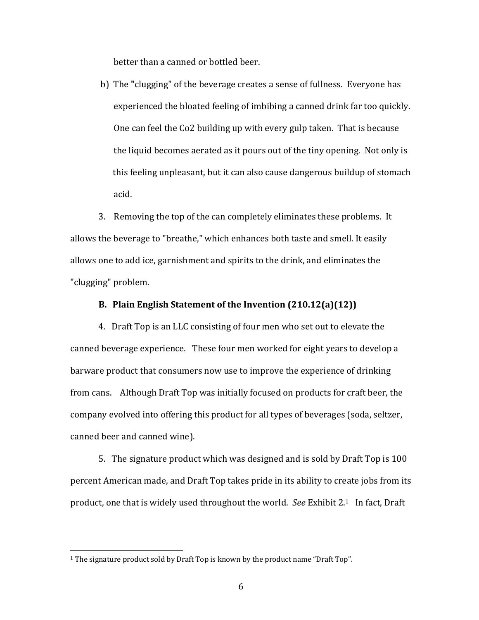better than a canned or bottled beer.

 b) The **"**clugging" of the beverage creates a sense of fullness. Everyone has experienced the bloated feeling of imbibing a canned drink far too quickly. One can feel the Co2 building up with every gulp taken. That is because the liquid becomes aerated as it pours out of the tiny opening. Not only is this feeling unpleasant, but it can also cause dangerous buildup of stomach acid.

 3. Removing the top of the can completely eliminates these problems. It allows the beverage to "breathe," which enhances both taste and smell. It easily allows one to add ice, garnishment and spirits to the drink, and eliminates the "clugging" problem.

# **B. Plain English Statement of the Invention (210.12(a)(12))**

4.Draft Top is an LLC consisting of four men who set out to elevate the canned beverage experience. These four men worked for eight years to develop a barware product that consumers now use to improve the experience of drinking from cans. Although Draft Top was initially focused on products for craft beer, the company evolved into offering this product for all types of beverages (soda, seltzer, canned beer and canned wine).

 5. The signature product which was designed and is sold by Draft Top is 100 percent American made, and Draft Top takes pride in its ability to create jobs from its product, one that is widely used throughout the world. *See* Exhibit 2.1 In fact, Draft

<sup>&</sup>lt;sup>1</sup> The signature product sold by Draft Top is known by the product name "Draft Top".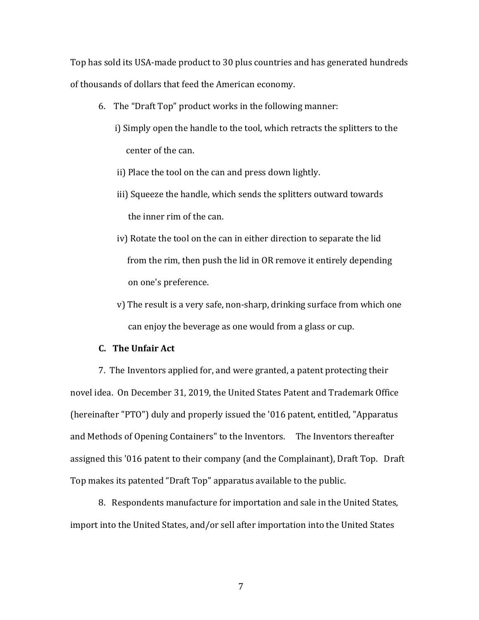Top has sold its USA-made product to 30 plus countries and has generated hundreds of thousands of dollars that feed the American economy.

- 6.The "Draft Top" product works in the following manner:
	- i) Simply open the handle to the tool, which retracts the splitters to the center of the can.
	- ii) Place the tool on the can and press down lightly.
	- iii) Squeeze the handle, which sends the splitters outward towards the inner rim of the can.
	- iv) Rotate the tool on the can in either direction to separate the lid from the rim, then push the lid in OR remove it entirely depending on one's preference.
	- v) The result is a very safe, non-sharp, drinking surface from which one can enjoy the beverage as one would from a glass or cup.

# **C. The Unfair Act**

 7.The Inventors applied for, and were granted, a patent protecting their novel idea. On December 31, 2019, the United States Patent and Trademark Office (hereinafter "PTO") duly and properly issued the '016 patent, entitled, "Apparatus and Methods of Opening Containers" to the Inventors. The Inventors thereafter assigned this '016 patent to their company (and the Complainant), Draft Top. Draft Top makes its patented "Draft Top" apparatus available to the public.

 8. Respondents manufacture for importation and sale in the United States, import into the United States, and/or sell after importation into the United States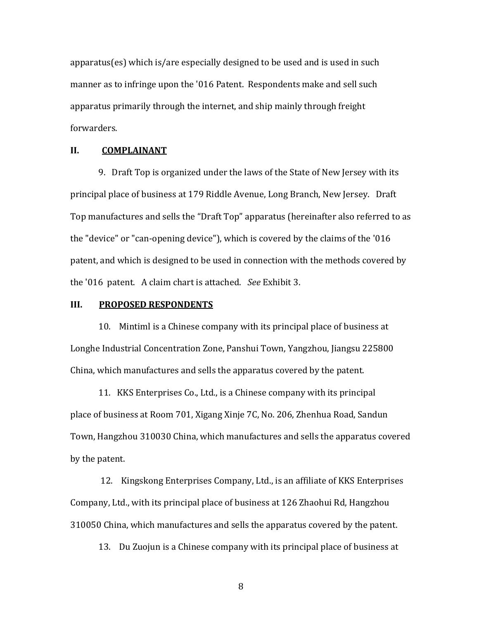apparatus(es) which is/are especially designed to be used and is used in such manner as to infringe upon the '016 Patent. Respondents make and sell such apparatus primarily through the internet, and ship mainly through freight forwarders.

#### **II. COMPLAINANT**

 9. Draft Top is organized under the laws of the State of New Jersey with its principal place of business at 179 Riddle Avenue, Long Branch, New Jersey. Draft Top manufactures and sells the "Draft Top" apparatus (hereinafter also referred to as the "device" or "can-opening device"), which is covered by the claims of the '016 patent, and which is designed to be used in connection with the methods covered by the '016 patent. A claim chart is attached. *See* Exhibit 3.

#### **III. PROPOSED RESPONDENTS**

 10. Mintiml is a Chinese company with its principal place of business at Longhe Industrial Concentration Zone, Panshui Town, Yangzhou, Jiangsu 225800 China, which manufactures and sells the apparatus covered by the patent.

 11. KKS Enterprises Co., Ltd., is a Chinese company with its principal place of business at Room 701, Xigang Xinje 7C, No. 206, Zhenhua Road, Sandun Town, Hangzhou 310030 China, which manufactures and sells the apparatus covered by the patent.

 12. Kingskong Enterprises Company, Ltd., is an affiliate of KKS Enterprises Company, Ltd., with its principal place of business at 126 Zhaohui Rd, Hangzhou 310050 China, which manufactures and sells the apparatus covered by the patent.

13. Du Zuojun is a Chinese company with its principal place of business at

8 and 20 and 20 and 20 and 20 and 20 and 20 and 20 and 20 and 20 and 20 and 20 and 20 and 20 and 20 and 20 and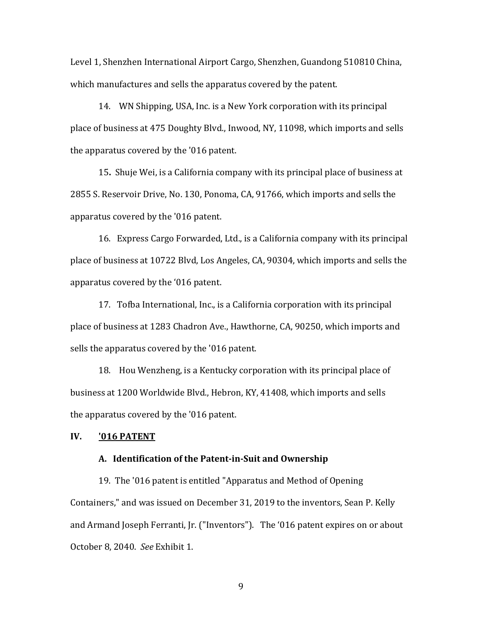Level 1, Shenzhen International Airport Cargo, Shenzhen, Guandong 510810 China, which manufactures and sells the apparatus covered by the patent.

 14. WN Shipping, USA, Inc. is a New York corporation with its principal place of business at 475 Doughty Blvd., Inwood, NY, 11098, which imports and sells the apparatus covered by the '016 patent.

 15**.** Shuje Wei, is a California company with its principal place of business at 2855 S. Reservoir Drive, No. 130, Ponoma, CA, 91766, which imports and sells the apparatus covered by the '016 patent.

 16. Express Cargo Forwarded, Ltd., is a California company with its principal place of business at 10722 Blvd, Los Angeles, CA, 90304, which imports and sells the apparatus covered by the '016 patent.

 17. Tofba International, Inc., is a California corporation with its principal place of business at 1283 Chadron Ave., Hawthorne, CA, 90250, which imports and sells the apparatus covered by the '016 patent.

 18. Hou Wenzheng, is a Kentucky corporation with its principal place of business at 1200 Worldwide Blvd., Hebron, KY, 41408, which imports and sells the apparatus covered by the '016 patent.

#### **IV. '016 PATENT**

#### **A. Identification of the Patent-in-Suit and Ownership**

 19. The '016 patent is entitled "Apparatus and Method of Opening Containers," and was issued on December 31, 2019 to the inventors, Sean P. Kelly and Armand Joseph Ferranti, Jr. ("Inventors"). The '016 patent expires on or about October 8, 2040. *See* Exhibit 1.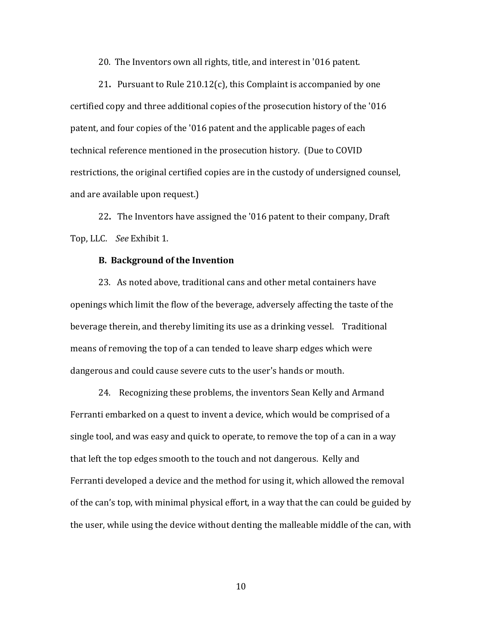20. The Inventors own all rights, title, and interest in '016 patent.

 21**.** Pursuant to Rule 210.12(c), this Complaint is accompanied by one certified copy and three additional copies of the prosecution history of the '016 patent, and four copies of the '016 patent and the applicable pages of each technical reference mentioned in the prosecution history. (Due to COVID restrictions, the original certified copies are in the custody of undersigned counsel, and are available upon request.)

 22**.** The Inventors have assigned the '016 patent to their company, Draft Top, LLC. *See* Exhibit 1.

#### **B. Background of the Invention**

 23. As noted above, traditional cans and other metal containers have openings which limit the flow of the beverage, adversely affecting the taste of the beverage therein, and thereby limiting its use as a drinking vessel. Traditional means of removing the top of a can tended to leave sharp edges which were dangerous and could cause severe cuts to the user's hands or mouth.

 24. Recognizing these problems, the inventors Sean Kelly and Armand Ferranti embarked on a quest to invent a device, which would be comprised of a single tool, and was easy and quick to operate, to remove the top of a can in a way that left the top edges smooth to the touch and not dangerous. Kelly and Ferranti developed a device and the method for using it, which allowed the removal of the can's top, with minimal physical effort, in a way that the can could be guided by the user, while using the device without denting the malleable middle of the can, with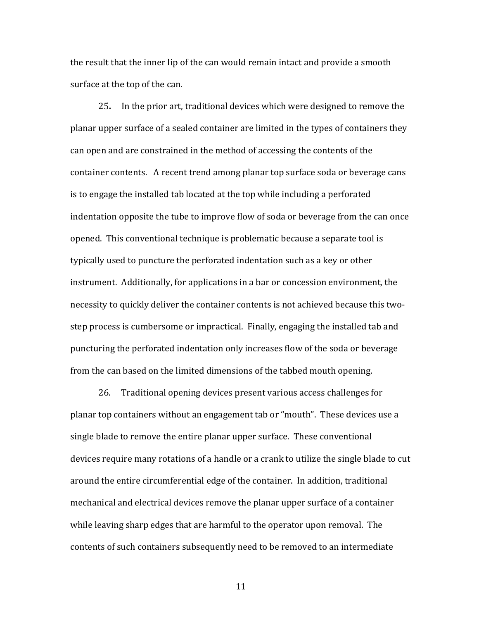the result that the inner lip of the can would remain intact and provide a smooth surface at the top of the can.

 25**.** In the prior art, traditional devices which were designed to remove the planar upper surface of a sealed container are limited in the types of containers they can open and are constrained in the method of accessing the contents of the container contents. A recent trend among planar top surface soda or beverage cans is to engage the installed tab located at the top while including a perforated indentation opposite the tube to improve flow of soda or beverage from the can once opened. This conventional technique is problematic because a separate tool is typically used to puncture the perforated indentation such as a key or other instrument. Additionally, for applications in a bar or concession environment, the necessity to quickly deliver the container contents is not achieved because this twostep process is cumbersome or impractical. Finally, engaging the installed tab and puncturing the perforated indentation only increases flow of the soda or beverage from the can based on the limited dimensions of the tabbed mouth opening.

 26. Traditional opening devices present various access challenges for planar top containers without an engagement tab or "mouth". These devices use a single blade to remove the entire planar upper surface. These conventional devices require many rotations of a handle or a crank to utilize the single blade to cut around the entire circumferential edge of the container. In addition, traditional mechanical and electrical devices remove the planar upper surface of a container while leaving sharp edges that are harmful to the operator upon removal. The contents of such containers subsequently need to be removed to an intermediate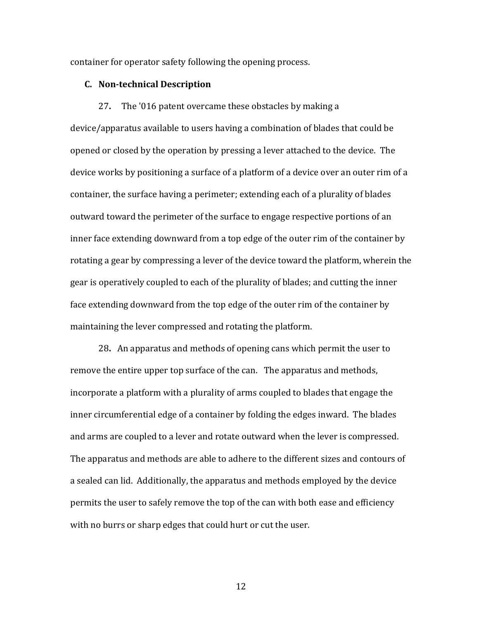container for operator safety following the opening process.

#### **C. Non-technical Description**

 27**.** The '016 patent overcame these obstacles by making a device/apparatus available to users having a combination of blades that could be opened or closed by the operation by pressing a lever attached to the device. The device works by positioning a surface of a platform of a device over an outer rim of a container, the surface having a perimeter; extending each of a plurality of blades outward toward the perimeter of the surface to engage respective portions of an inner face extending downward from a top edge of the outer rim of the container by rotating a gear by compressing a lever of the device toward the platform, wherein the gear is operatively coupled to each of the plurality of blades; and cutting the inner face extending downward from the top edge of the outer rim of the container by maintaining the lever compressed and rotating the platform.

 28**.** An apparatus and methods of opening cans which permit the user to remove the entire upper top surface of the can. The apparatus and methods, incorporate a platform with a plurality of arms coupled to blades that engage the inner circumferential edge of a container by folding the edges inward. The blades and arms are coupled to a lever and rotate outward when the lever is compressed. The apparatus and methods are able to adhere to the different sizes and contours of a sealed can lid. Additionally, the apparatus and methods employed by the device permits the user to safely remove the top of the can with both ease and efficiency with no burrs or sharp edges that could hurt or cut the user.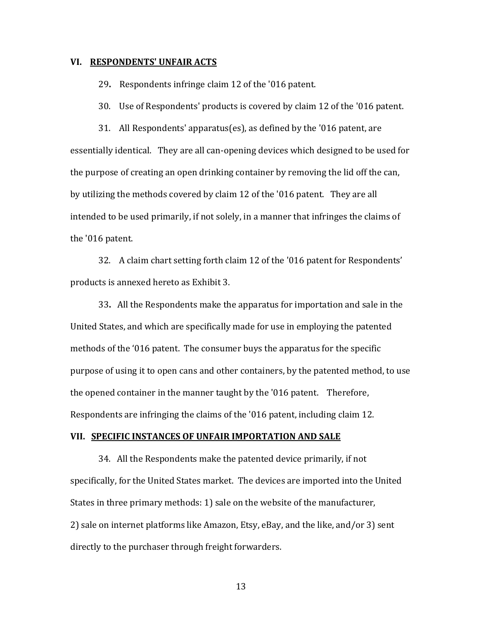#### **VI. RESPONDENTS' UNFAIR ACTS**

29**.** Respondents infringe claim 12 of the '016 patent.

30. Use of Respondents' products is covered by claim 12 of the '016 patent.

 31. All Respondents' apparatus(es), as defined by the '016 patent, are essentially identical. They are all can-opening devices which designed to be used for the purpose of creating an open drinking container by removing the lid off the can, by utilizing the methods covered by claim 12 of the '016 patent. They are all intended to be used primarily, if not solely, in a manner that infringes the claims of the '016 patent.

 32. A claim chart setting forth claim 12 of the '016 patent for Respondents' products is annexed hereto as Exhibit 3.

 33**.** All the Respondents make the apparatus for importation and sale in the United States, and which are specifically made for use in employing the patented methods of the '016 patent. The consumer buys the apparatus for the specific purpose of using it to open cans and other containers, by the patented method, to use the opened container in the manner taught by the '016 patent. Therefore, Respondents are infringing the claims of the '016 patent, including claim 12.

#### **VII. SPECIFIC INSTANCES OF UNFAIR IMPORTATION AND SALE**

 34. All the Respondents make the patented device primarily, if not specifically, for the United States market. The devices are imported into the United States in three primary methods: 1) sale on the website of the manufacturer, 2) sale on internet platforms like Amazon, Etsy, eBay, and the like, and/or 3) sent directly to the purchaser through freight forwarders.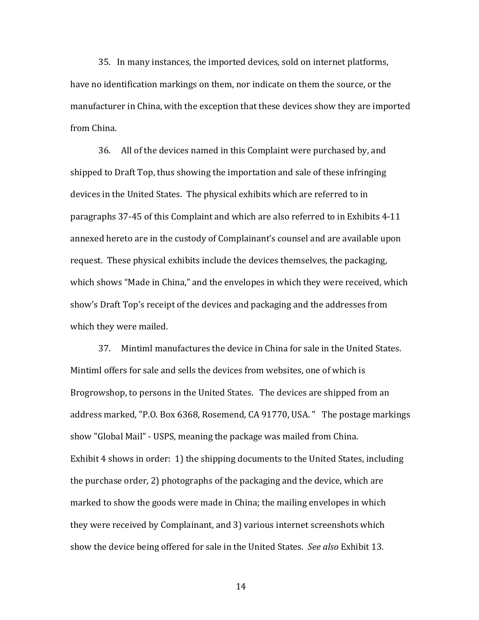35. In many instances, the imported devices, sold on internet platforms, have no identification markings on them, nor indicate on them the source, or the manufacturer in China, with the exception that these devices show they are imported from China.

 36. All of the devices named in this Complaint were purchased by, and shipped to Draft Top, thus showing the importation and sale of these infringing devices in the United States. The physical exhibits which are referred to in paragraphs 37-45 of this Complaint and which are also referred to in Exhibits 4-11 annexed hereto are in the custody of Complainant's counsel and are available upon request. These physical exhibits include the devices themselves, the packaging, which shows "Made in China," and the envelopes in which they were received, which show's Draft Top's receipt of the devices and packaging and the addresses from which they were mailed.

37.Mintiml manufactures the device in China for sale in the United States. Mintiml offers for sale and sells the devices from websites, one of which is Brogrowshop, to persons in the United States. The devices are shipped from an address marked, "P.O. Box 6368, Rosemend, CA 91770, USA. " The postage markings show "Global Mail" - USPS, meaning the package was mailed from China. Exhibit 4 shows in order: 1) the shipping documents to the United States, including the purchase order, 2) photographs of the packaging and the device, which are marked to show the goods were made in China; the mailing envelopes in which they were received by Complainant, and 3) various internet screenshots which show the device being offered for sale in the United States. *See also* Exhibit 13.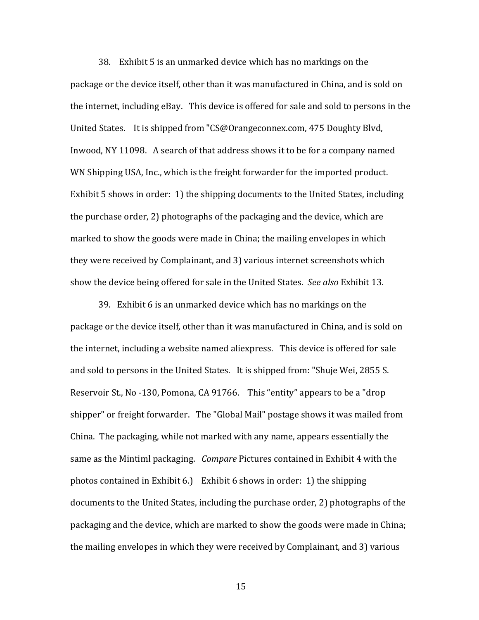38. Exhibit 5 is an unmarked device which has no markings on the package or the device itself, other than it was manufactured in China, and is sold on the internet, including eBay. This device is offered for sale and sold to persons in the United States. It is shipped from "CS@Orangeconnex.com, 475 Doughty Blvd, Inwood, NY 11098. A search of that address shows it to be for a company named WN Shipping USA, Inc., which is the freight forwarder for the imported product. Exhibit 5 shows in order: 1) the shipping documents to the United States, including the purchase order, 2) photographs of the packaging and the device, which are marked to show the goods were made in China; the mailing envelopes in which they were received by Complainant, and 3) various internet screenshots which show the device being offered for sale in the United States. *See also* Exhibit 13.

 39. Exhibit 6 is an unmarked device which has no markings on the package or the device itself, other than it was manufactured in China, and is sold on the internet, including a website named aliexpress. This device is offered for sale and sold to persons in the United States. It is shipped from: "Shuje Wei, 2855 S. Reservoir St., No -130, Pomona, CA 91766. This "entity" appears to be a "drop shipper" or freight forwarder. The "Global Mail" postage shows it was mailed from China. The packaging, while not marked with any name, appears essentially the same as the Mintiml packaging. *Compare* Pictures contained in Exhibit 4 with the photos contained in Exhibit 6.) Exhibit 6 shows in order: 1) the shipping documents to the United States, including the purchase order, 2) photographs of the packaging and the device, which are marked to show the goods were made in China; the mailing envelopes in which they were received by Complainant, and 3) various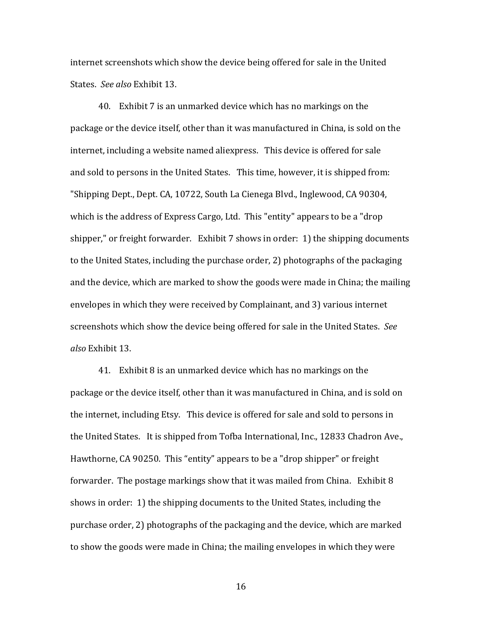internet screenshots which show the device being offered for sale in the United States. *See also* Exhibit 13.

 40. Exhibit 7 is an unmarked device which has no markings on the package or the device itself, other than it was manufactured in China, is sold on the internet, including a website named aliexpress. This device is offered for sale and sold to persons in the United States. This time, however, it is shipped from: "Shipping Dept., Dept. CA, 10722, South La Cienega Blvd., Inglewood, CA 90304, which is the address of Express Cargo, Ltd. This "entity" appears to be a "drop shipper," or freight forwarder. Exhibit 7 shows in order: 1) the shipping documents to the United States, including the purchase order, 2) photographs of the packaging and the device, which are marked to show the goods were made in China; the mailing envelopes in which they were received by Complainant, and 3) various internet screenshots which show the device being offered for sale in the United States. *See also* Exhibit 13.

41. Exhibit 8 is an unmarked device which has no markings on the package or the device itself, other than it was manufactured in China, and is sold on the internet, including Etsy. This device is offered for sale and sold to persons in the United States. It is shipped from Tofba International, Inc., 12833 Chadron Ave., Hawthorne, CA 90250. This "entity" appears to be a "drop shipper" or freight forwarder. The postage markings show that it was mailed from China. Exhibit 8 shows in order: 1) the shipping documents to the United States, including the purchase order, 2) photographs of the packaging and the device, which are marked to show the goods were made in China; the mailing envelopes in which they were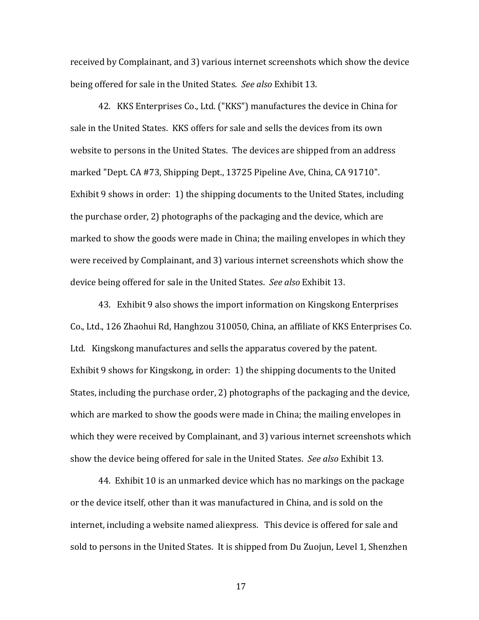received by Complainant, and 3) various internet screenshots which show the device being offered for sale in the United States. *See also* Exhibit 13.

 42. KKS Enterprises Co., Ltd. ("KKS") manufactures the device in China for sale in the United States. KKS offers for sale and sells the devices from its own website to persons in the United States. The devices are shipped from an address marked "Dept. CA #73, Shipping Dept., 13725 Pipeline Ave, China, CA 91710". Exhibit 9 shows in order: 1) the shipping documents to the United States, including the purchase order, 2) photographs of the packaging and the device, which are marked to show the goods were made in China; the mailing envelopes in which they were received by Complainant, and 3) various internet screenshots which show the device being offered for sale in the United States. *See also* Exhibit 13.

43. Exhibit 9 also shows the import information on Kingskong Enterprises Co., Ltd., 126 Zhaohui Rd, Hanghzou 310050, China, an affiliate of KKS Enterprises Co. Ltd. Kingskong manufactures and sells the apparatus covered by the patent. Exhibit 9 shows for Kingskong, in order: 1) the shipping documents to the United States, including the purchase order, 2) photographs of the packaging and the device, which are marked to show the goods were made in China; the mailing envelopes in which they were received by Complainant, and 3) various internet screenshots which show the device being offered for sale in the United States. *See also* Exhibit 13.

 44. Exhibit 10 is an unmarked device which has no markings on the package or the device itself, other than it was manufactured in China, and is sold on the internet, including a website named aliexpress. This device is offered for sale and sold to persons in the United States. It is shipped from Du Zuojun, Level 1, Shenzhen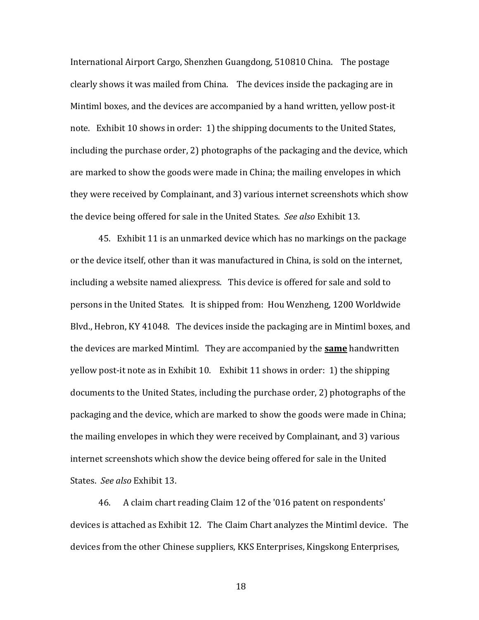International Airport Cargo, Shenzhen Guangdong, 510810 China. The postage clearly shows it was mailed from China. The devices inside the packaging are in Mintiml boxes, and the devices are accompanied by a hand written, yellow post-it note. Exhibit 10 shows in order: 1) the shipping documents to the United States, including the purchase order, 2) photographs of the packaging and the device, which are marked to show the goods were made in China; the mailing envelopes in which they were received by Complainant, and 3) various internet screenshots which show the device being offered for sale in the United States. *See also* Exhibit 13.

 45. Exhibit 11 is an unmarked device which has no markings on the package or the device itself, other than it was manufactured in China, is sold on the internet, including a website named aliexpress. This device is offered for sale and sold to persons in the United States. It is shipped from: Hou Wenzheng, 1200 Worldwide Blvd., Hebron, KY 41048. The devices inside the packaging are in Mintiml boxes, and the devices are marked Mintiml. They are accompanied by the **same** handwritten yellow post-it note as in Exhibit 10. Exhibit 11 shows in order: 1) the shipping documents to the United States, including the purchase order, 2) photographs of the packaging and the device, which are marked to show the goods were made in China; the mailing envelopes in which they were received by Complainant, and 3) various internet screenshots which show the device being offered for sale in the United States. *See also* Exhibit 13.

 46. A claim chart reading Claim 12 of the '016 patent on respondents' devices is attached as Exhibit 12. The Claim Chart analyzes the Mintiml device. The devices from the other Chinese suppliers, KKS Enterprises, Kingskong Enterprises,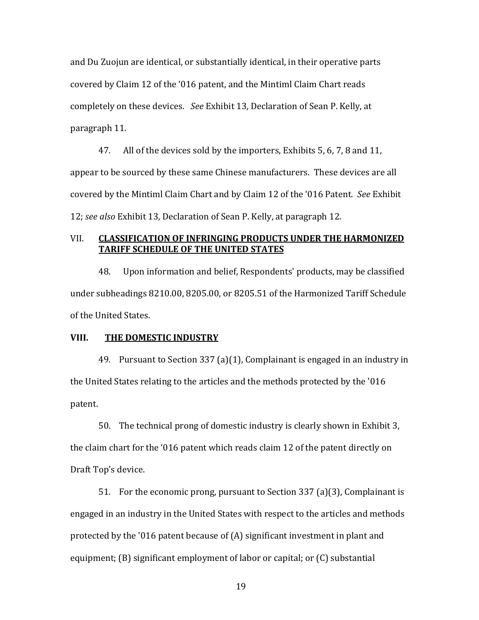and Du Zuojun are identical, or substantially identical, in their operative parts covered by Claim 12 of the '016 patent, and the Mintiml Claim Chart reads completely on these devices. *See* Exhibit 13, Declaration of Sean P. Kelly, at paragraph 11.

 47. All of the devices sold by the importers, Exhibits 5, 6, 7, 8 and 11, appear to be sourced by these same Chinese manufacturers. These devices are all covered by the Mintiml Claim Chart and by Claim 12 of the '016 Patent. *See* Exhibit 12; *see also* Exhibit 13, Declaration of Sean P. Kelly, at paragraph 12.

# VII. **CLASSIFICATION OF INFRINGING PRODUCTS UNDER THE HARMONIZED TARIFF SCHEDULE OF THE UNITED STATES**

 48. Upon information and belief, Respondents' products, may be classified under subheadings 8210.00, 8205.00, or 8205.51 of the Harmonized Tariff Schedule of the United States.

#### **VIII. THE DOMESTIC INDUSTRY**

 49. Pursuant to Section 337 (a)(1), Complainant is engaged in an industry in the United States relating to the articles and the methods protected by the '016 patent.

 50. The technical prong of domestic industry is clearly shown in Exhibit 3, the claim chart for the '016 patent which reads claim 12 of the patent directly on Draft Top's device.

 51. For the economic prong, pursuant to Section 337 (a)(3), Complainant is engaged in an industry in the United States with respect to the articles and methods protected by the '016 patent because of (A) significant investment in plant and equipment; (B) significant employment of labor or capital; or (C) substantial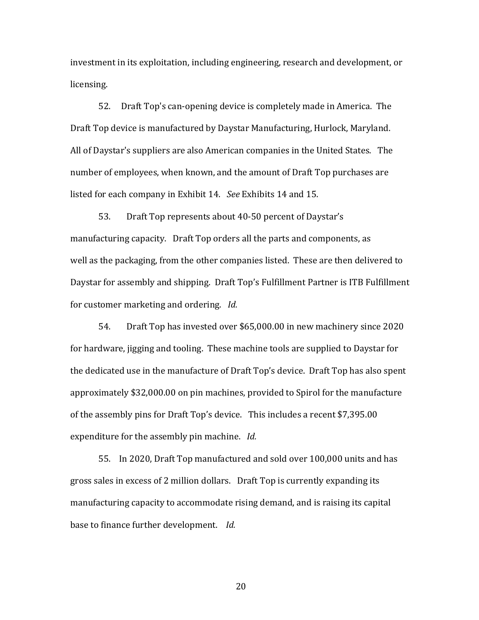investment in its exploitation, including engineering, research and development, or licensing.

 52. Draft Top's can-opening device is completely made in America. The Draft Top device is manufactured by Daystar Manufacturing, Hurlock, Maryland. All of Daystar's suppliers are also American companies in the United States. The number of employees, when known, and the amount of Draft Top purchases are listed for each company in Exhibit 14. *See* Exhibits 14 and 15.

 53. Draft Top represents about 40-50 percent of Daystar's manufacturing capacity. Draft Top orders all the parts and components, as well as the packaging, from the other companies listed. These are then delivered to Daystar for assembly and shipping. Draft Top's Fulfillment Partner is ITB Fulfillment for customer marketing and ordering. *Id.*

 54. Draft Top has invested over \$65,000.00 in new machinery since 2020 for hardware, jigging and tooling. These machine tools are supplied to Daystar for the dedicated use in the manufacture of Draft Top's device. Draft Top has also spent approximately \$32,000.00 on pin machines, provided to Spirol for the manufacture of the assembly pins for Draft Top's device. This includes a recent \$7,395.00 expenditure for the assembly pin machine. *Id.*

 55. In 2020, Draft Top manufactured and sold over 100,000 units and has gross sales in excess of 2 million dollars. Draft Top is currently expanding its manufacturing capacity to accommodate rising demand, and is raising its capital base to finance further development. *Id.*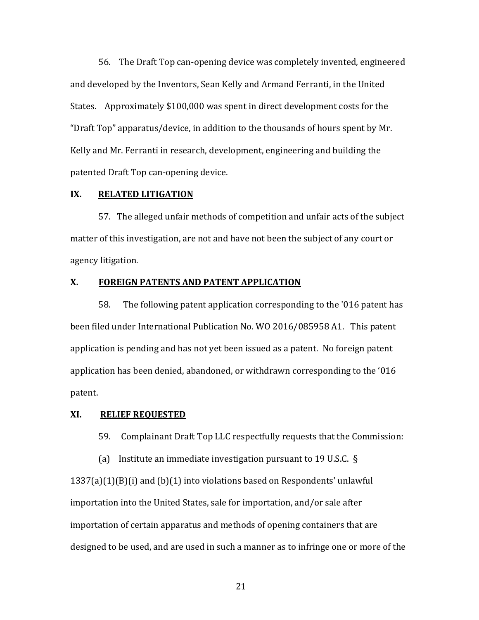56. The Draft Top can-opening device was completely invented, engineered and developed by the Inventors, Sean Kelly and Armand Ferranti, in the United States. Approximately \$100,000 was spent in direct development costs for the "Draft Top" apparatus/device, in addition to the thousands of hours spent by Mr. Kelly and Mr. Ferranti in research, development, engineering and building the patented Draft Top can-opening device.

#### **IX. RELATED LITIGATION**

 57. The alleged unfair methods of competition and unfair acts of the subject matter of this investigation, are not and have not been the subject of any court or agency litigation.

#### **X. FOREIGN PATENTS AND PATENT APPLICATION**

 58. The following patent application corresponding to the '016 patent has been filed under International Publication No. WO 2016/085958 A1. This patent application is pending and has not yet been issued as a patent. No foreign patent application has been denied, abandoned, or withdrawn corresponding to the '016 patent.

#### **XI. RELIEF REQUESTED**

59. Complainant Draft Top LLC respectfully requests that the Commission:

 (a) Institute an immediate investigation pursuant to 19 U.S.C. § 1337(a)(1)(B)(i) and (b)(1) into violations based on Respondents' unlawful importation into the United States, sale for importation, and/or sale after importation of certain apparatus and methods of opening containers that are designed to be used, and are used in such a manner as to infringe one or more of the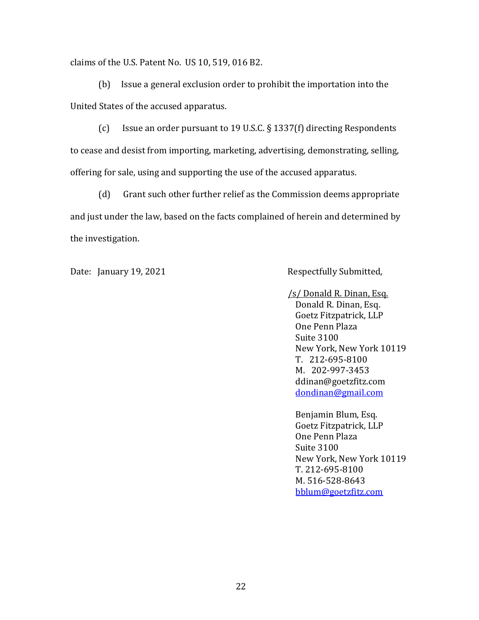claims of the U.S. Patent No. US 10, 519, 016 B2.

 (b) Issue a general exclusion order to prohibit the importation into the United States of the accused apparatus.

 (c) Issue an order pursuant to 19 U.S.C. § 1337(f) directing Respondents to cease and desist from importing, marketing, advertising, demonstrating, selling, offering for sale, using and supporting the use of the accused apparatus.

 (d) Grant such other further relief as the Commission deems appropriate and just under the law, based on the facts complained of herein and determined by the investigation.

Date: January 19, 2021 Respectfully Submitted,

 /s/ Donald R. Dinan, Esq. Donald R. Dinan, Esq. Goetz Fitzpatrick, LLP One Penn Plaza Suite 3100 New York, New York 10119 T. 212-695-8100 M. 202-997-3453 ddinan@goetzfitz.com dondinan@gmail.com

 Benjamin Blum, Esq. Goetz Fitzpatrick, LLP One Penn Plaza Suite 3100 New York, New York 10119 T. 212-695-8100 M. 516-528-8643 bblum@goetzfitz.com